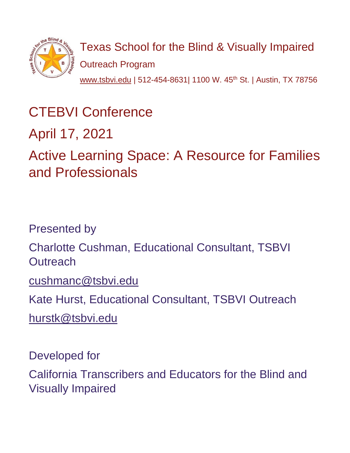

Texas School for the Blind & Visually Impaired Outreach Program [www.tsbvi.edu](http://www.tsbvi.edu/) | 512-454-8631| 1100 W. 45<sup>th</sup> St. | Austin, TX 78756

# CTEBVI Conference

April 17, 2021

Active Learning Space: A Resource for Families and Professionals

Presented by

Charlotte Cushman, Educational Consultant, TSBVI **Outreach** 

[cushmanc@tsbvi.edu](mailto:cushmanc@tsbvi.edu)

Kate Hurst, Educational Consultant, TSBVI Outreach

[hurstk@tsbvi.edu](mailto:hurstk@tsbvi.edu)

Developed for

California Transcribers and Educators for the Blind and Visually Impaired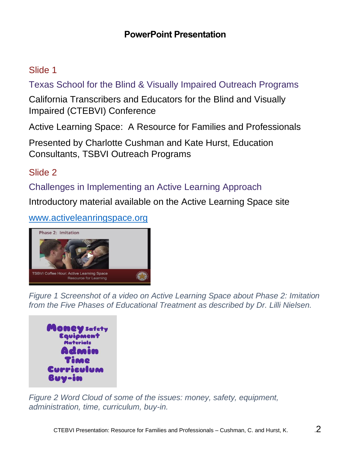#### **PowerPoint Presentation**

## Slide 1

Texas School for the Blind & Visually Impaired Outreach Programs

California Transcribers and Educators for the Blind and Visually Impaired (CTEBVI) Conference

Active Learning Space: A Resource for Families and Professionals

Presented by Charlotte Cushman and Kate Hurst, Education Consultants, TSBVI Outreach Programs

## Slide 2

Challenges in Implementing an Active Learning Approach

Introductory material available on the Active Learning Space site

#### [www.activeleanringspace.org](http://www.activeleanringspace.org/)



*Figure 1 Screenshot of a video on Active Learning Space about Phase 2: Imitation from the Five Phases of Educational Treatment as described by Dr. Lilli Nielsen.*



*Figure 2 Word Cloud of some of the issues: money, safety, equipment, administration, time, curriculum, buy-in.*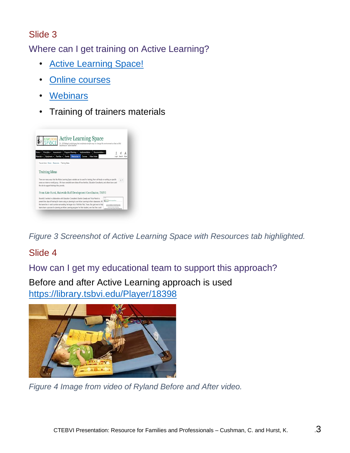Where can I get training on Active Learning?

- [Active Learning Space!](https://activelearningspace.org/resources/training-ideas)
- [Online courses](https://activelearningspace.org/courses)
- [Webinars](https://activelearningspace.org/resources/webinars)
- Training of trainers materials



*Figure 3 Screenshot of Active Learning Space with Resources tab highlighted.*

# Slide 4

How can I get my educational team to support this approach?

Before and after Active Learning approach is used <https://library.tsbvi.edu/Player/18398>



*Figure 4 Image from video of Ryland Before and After video.*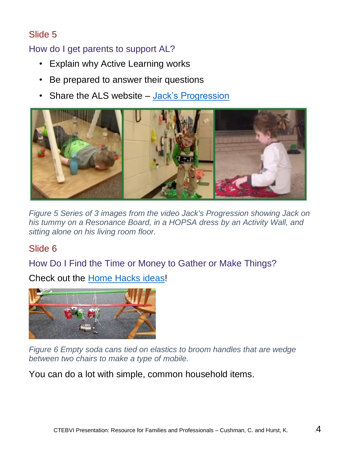## How do I get parents to support AL?

- Explain why Active Learning works
- Be prepared to answer their questions
- Share the ALS website [Jack's Progression](https://activelearningspace.org/implementation/motor-development)



*Figure 5 Series of 3 images from the video Jack's Progression showing Jack on his tummy on a Resonance Board, in a HOPSA dress by an Activity Wall, and sitting alone on his living room floor.*

## Slide 6

How Do I Find the Time or Money to Gather or Make Things?

Check out the [Home Hacks ideas!](https://activelearningspace.org/families/home-hacks/home-hacks-overview)



*Figure 6 Empty soda cans tied on elastics to broom handles that are wedge between two chairs to make a type of mobile.*

You can do a lot with simple, common household items.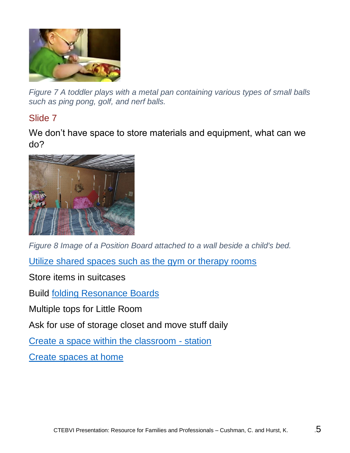

*Figure 7 A toddler plays with a metal pan containing various types of small balls such as ping pong, golf, and nerf balls.*

#### Slide 7

We don't have space to store materials and equipment, what can we do?



*Figure 8 Image of a Position Board attached to a wall beside a child's bed.*

[Utilize shared spaces such as the gym or therapy rooms](https://activelearningspace.org/implementation/classroom-environments/overview-classroom-environments)

Store items in suitcases

Build [folding Resonance Boards](https://activelearningspace.org/images/Creating_folding_Resonance_Board_4x4.compressed.pdf)

Multiple tops for Little Room

Ask for use of storage closet and move stuff daily

[Create a space within the classroom -](https://activelearningspace.org/implementation/classroom-environments/classroom-centers) station

[Create spaces at home](https://activelearningspace.org/families/home-hacks/home-hacks-overview)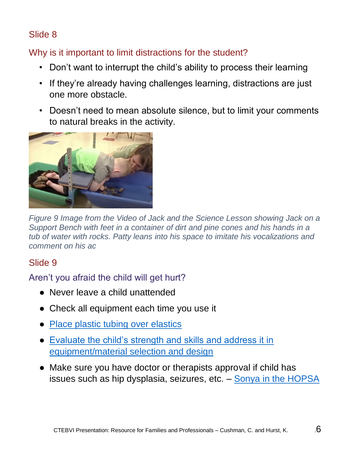## Why is it important to limit distractions for the student?

- Don't want to interrupt the child's ability to process their learning
- If they're already having challenges learning, distractions are just one more obstacle.
- Doesn't need to mean absolute silence, but to limit your comments to natural breaks in the activity.



*Figure 9 Image from the Video of Jack and the Science Lesson showing Jack on a Support Bench with feet in a container of dirt and pine cones and his hands in a tub of water with rocks. Patty leans into his space to imitate his vocalizations and comment on his ac*

## Slide 9

Aren't you afraid the child will get hurt?

- Never leave a child unattended
- Check all equipment each time you use it
- Place plastic tubing over elastics
- [Evaluate the child's strength and skills and address it in](https://library.tsbvi.edu/Player/16406)  [equipment/material selection and design](https://library.tsbvi.edu/Player/16406)
- Make sure you have doctor or therapists approval if child has issues such as hip dysplasia, seizures, etc. – [Sonya in the HOPSA](https://library.tsbvi.edu/Player/16466)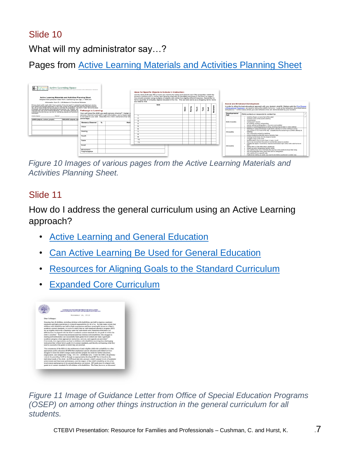What will my administrator say…?

Pages from [Active Learning Materials and Activities Planning Sheet](https://activelearningspace.org/program-planning/active-learning-materials-and-activities-planning-sheet)



*Figure 10 Images of various pages from the Active Learning Materials and Activities Planning Sheet.*

#### Slide 11

How do I address the general curriculum using an Active Learning approach?

- [Active Learning and General Education](https://activelearningspace.org/program-planning/active-learning-and-general-education)
- [Can Active Learning Be Used for General Education](https://activelearningspace.org/program-planning/used-for-general-education)
- [Resources for Aligning Goals to the Standard Curriculum](https://activelearningspace.org/program-planning/resources-aligning-goals-to-the-standard-curriculum)
- **[Expanded Core Curriculum](https://activelearningspace.org/program-planning/ecc)**



*Figure 11 Image of Guidance Letter from Office of Special Education Programs (OSEP) on among other things instruction in the general curriculum for all students.*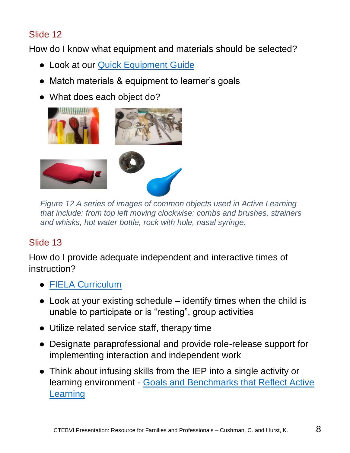How do I know what equipment and materials should be selected?

- Look at our Quick Equipment Guide
- Match materials & equipment to learner's goals
- What does each object do?



*Figure 12 A series of images of common objects used in Active Learning that include: from top left moving clockwise: combs and brushes, strainers and whisks, hot water bottle, rock with hole, nasal syringe.*

## Slide 13

How do I provide adequate independent and interactive times of instruction?

- [FIELA Curriculum](https://activelearningspace.org/implementation/using-fiela-curriculum)
- $\bullet$  Look at your existing schedule identify times when the child is unable to participate or is "resting", group activities
- Utilize related service staff, therapy time
- Designate paraprofessional and provide role-release support for implementing interaction and independent work
- Think about infusing skills from the IEP into a single activity or learning environment - [Goals and Benchmarks that Reflect Active](https://activelearningspace.org/program-planning/goals-and-benchmarks)  [Learning](https://activelearningspace.org/program-planning/goals-and-benchmarks)